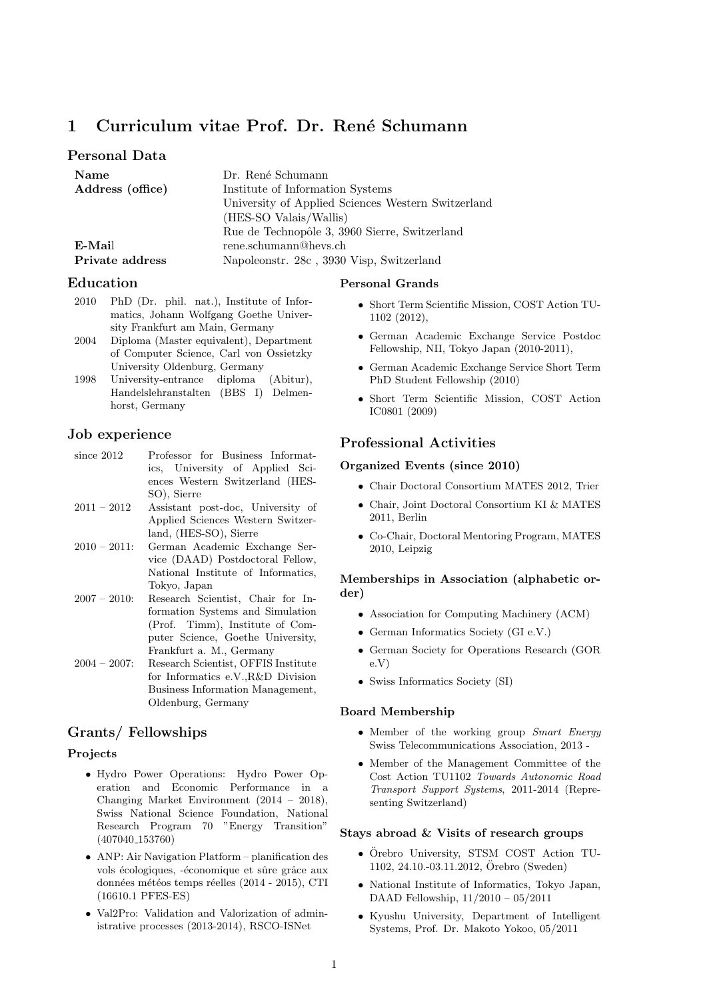# 1 Curriculum vitae Prof. Dr. René Schumann

## Personal Data

| Name             | Dr. René Schumann                                  |
|------------------|----------------------------------------------------|
| Address (office) | Institute of Information Systems                   |
|                  | University of Applied Sciences Western Switzerland |
|                  | (HES-SO Valais/Wallis)                             |
|                  | Rue de Technopôle 3, 3960 Sierre, Switzerland      |
| E-Mail           | rene.schumann@hevs.ch                              |
| Private address  | Napoleonstr. 28c, 3930 Visp, Switzerland           |

## Education

2010 PhD (Dr. phil. nat.), Institute of Informatics, Johann Wolfgang Goethe University Frankfurt am Main, Germany

- 2004 Diploma (Master equivalent), Department of Computer Science, Carl von Ossietzky University Oldenburg, Germany
- 1998 University-entrance diploma (Abitur), Handelslehranstalten (BBS I) Delmenhorst, Germany

## Job experience

- since 2012 Professor for Business Informatics, University of Applied Sciences Western Switzerland (HES-SO), Sierre
- 2011 2012 Assistant post-doc, University of Applied Sciences Western Switzerland, (HES-SO), Sierre
- 2010 2011: German Academic Exchange Service (DAAD) Postdoctoral Fellow, National Institute of Informatics, Tokyo, Japan
- 2007 2010: Research Scientist, Chair for Information Systems and Simulation (Prof. Timm), Institute of Computer Science, Goethe University, Frankfurt a. M., Germany
- 2004 2007: Research Scientist, OFFIS Institute for Informatics e.V.,R&D Division Business Information Management, Oldenburg, Germany

## Grants/ Fellowships

#### Projects

- Hydro Power Operations: Hydro Power Operation and Economic Performance in a Changing Market Environment (2014 – 2018), Swiss National Science Foundation, National Research Program 70 "Energy Transition" (407040 153760)
- ANP: Air Navigation Platform planification des vols écologiques, -économique et sûre grâce aux données météos temps réelles (2014 - 2015), CTI (16610.1 PFES-ES)
- Val2Pro: Validation and Valorization of administrative processes (2013-2014), RSCO-ISNet

## Personal Grands

- Short Term Scientific Mission, COST Action TU-1102 (2012),
- German Academic Exchange Service Postdoc Fellowship, NII, Tokyo Japan (2010-2011),
- German Academic Exchange Service Short Term PhD Student Fellowship (2010)
- Short Term Scientific Mission, COST Action IC0801 (2009)

### Professional Activities

#### Organized Events (since 2010)

- Chair Doctoral Consortium MATES 2012, Trier
- Chair, Joint Doctoral Consortium KI & MATES 2011, Berlin
- Co-Chair, Doctoral Mentoring Program, MATES 2010, Leipzig

## Memberships in Association (alphabetic order)

- Association for Computing Machinery (ACM)
- German Informatics Society (GI e.V.)
- German Society for Operations Research (GOR e.V)
- Swiss Informatics Society (SI)

#### Board Membership

- Member of the working group Smart Energy Swiss Telecommunications Association, 2013 -
- Member of the Management Committee of the Cost Action TU1102 Towards Autonomic Road Transport Support Systems, 2011-2014 (Representing Switzerland)

#### Stays abroad & Visits of research groups

- Örebro University, STSM COST Action TU-1102, 24.10.-03.11.2012, Orebro (Sweden) ¨
- National Institute of Informatics, Tokyo Japan, DAAD Fellowship, 11/2010 – 05/2011
- Kyushu University, Department of Intelligent Systems, Prof. Dr. Makoto Yokoo, 05/2011